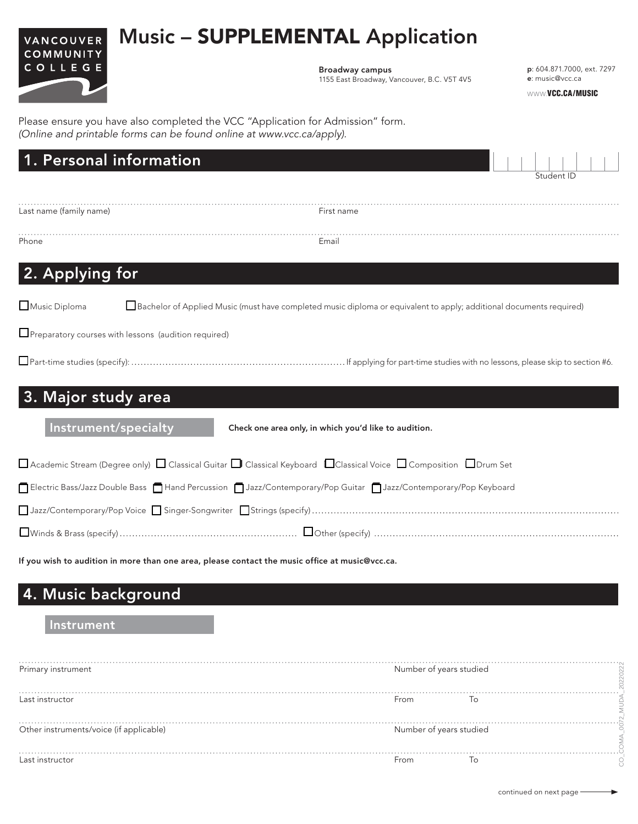# Music – SUPPLEMENTAL Application



Broadway campus 1155 East Broadway, Vancouver, B.C. V5T 4V5 p: 604.871.7000, ext. 7297 e: music@vcc.ca

WWW.VCC.CA/MUSIC

Please ensure you have also completed the VCC "Application for Admission" form. *(Online and printable forms can be found online at www.vcc.ca/apply).*

| 1. Personal information                                                                                                                          |                                                       |            |
|--------------------------------------------------------------------------------------------------------------------------------------------------|-------------------------------------------------------|------------|
|                                                                                                                                                  |                                                       | Student ID |
| Last name (family name)                                                                                                                          | First name                                            |            |
| Phone                                                                                                                                            | Email                                                 |            |
| 2. Applying for                                                                                                                                  |                                                       |            |
| Music Diploma<br>Bachelor of Applied Music (must have completed music diploma or equivalent to apply; additional documents required)             |                                                       |            |
| Preparatory courses with lessons (audition required)                                                                                             |                                                       |            |
|                                                                                                                                                  |                                                       |            |
| 3. Major study area                                                                                                                              |                                                       |            |
| Instrument/specialty                                                                                                                             | Check one area only, in which you'd like to audition. |            |
| $\Box$ Academic Stream (Degree only) $\Box$ Classical Guitar $\Box$ Classical Keyboard $\Box$ Classical Voice $\Box$ Composition $\Box$ Drum Set |                                                       |            |
| Electric Bass/Jazz Double Bass   Hand Percussion   Jazz/Contemporary/Pop Guitar   Jazz/Contemporary/Pop Keyboard                                 |                                                       |            |
|                                                                                                                                                  |                                                       |            |
|                                                                                                                                                  |                                                       |            |

If you wish to audition in more than one area, please contact the music office at music@vcc.ca.

## 4. Music background

#### Instrument

| Primary instrument                      | Number of years studied |    |
|-----------------------------------------|-------------------------|----|
|                                         |                         |    |
|                                         |                         |    |
| Last instructor                         | From                    | To |
|                                         |                         |    |
|                                         |                         |    |
| Other instruments/voice (if applicable) | Number of years studied |    |
|                                         |                         |    |
|                                         |                         |    |
| Last instructor                         | From                    | 10 |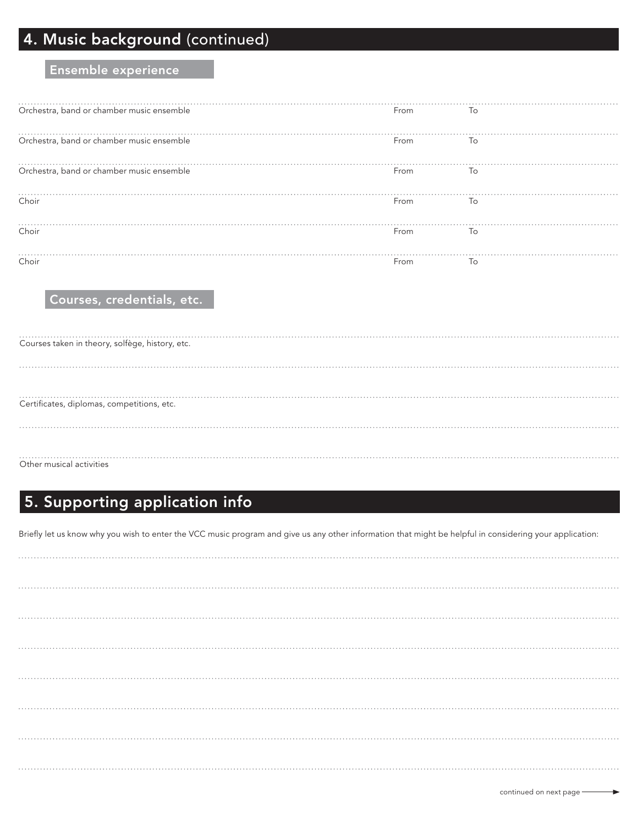## 4. Music background (continued)

#### Ensemble experience

| Orchestra, band or chamber music ensemble | From | To             |
|-------------------------------------------|------|----------------|
| Orchestra, band or chamber music ensemble | From | $\overline{O}$ |
| Orchestra, band or chamber music ensemble | From | To             |
| Choir                                     | From | To             |
| Choir                                     | From | To             |
| Choir                                     | From | To             |

Courses, credentials, etc.

| Courses taken in theory, solfège, history, etc. |
|-------------------------------------------------|
|                                                 |
| Certificates, diplomas, competitions, etc.      |
|                                                 |
| Other musical activities                        |

## 5. Supporting application info

Briefly let us know why you wish to enter the VCC music program and give us any other information that might be helpful in considering your application: